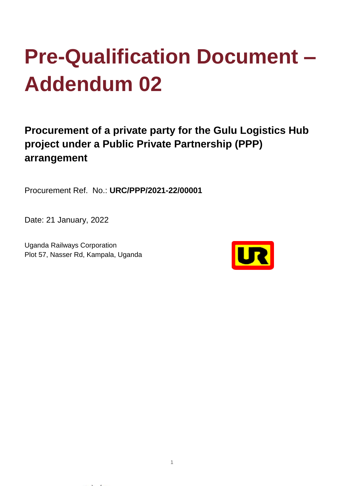# **Pre-Qualification Document – Addendum 02**

### **Procurement of a private party for the Gulu Logistics Hub project under a Public Private Partnership (PPP) arrangement**

Procurement Ref. No.: **URC/PPP/2021-22/00001**

Date: 21 January, 2022

Uganda Railways Corporation Plot 57, Nasser Rd, Kampala, Uganda

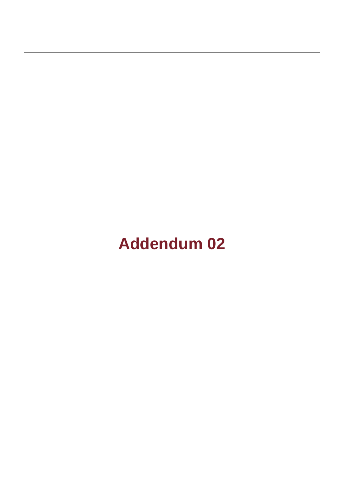## **Addendum 02**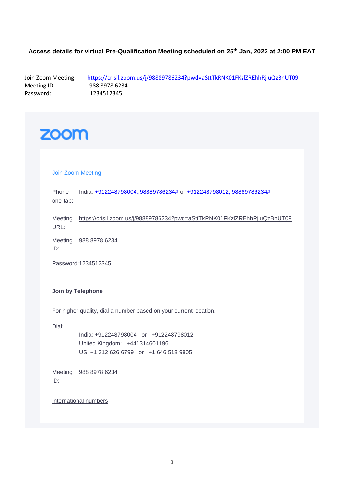#### **Access details for virtual Pre-Qualification Meeting scheduled on 25th Jan, 2022 at 2:00 PM EAT**

Join Zoom Meeting: https://crisil.zoom.us/j/98889786234?pwd=aSttTkRNK01FKzIZREhhRjluQzBnUT09<br>Meeting ID: 988 8978 6234 Meeting ID: 988 8978 6234<br>Password: 1234512345 1234512345

### **ZOOM**

#### **[Join Zoom Meeting](https://crisil.zoom.us/j/98889786234?pwd=aSttTkRNK01FKzlZREhhRjluQzBnUT09)**

Phone one-tap: India: [+912248798004,,98889786234#](tel:+912248798004,,98889786234) or [+912248798012,,98889786234#](tel:+912248798012,,98889786234)

Meeting <https://crisil.zoom.us/j/98889786234?pwd=aSttTkRNK01FKzlZREhhRjluQzBnUT09> URL:

Meeting 988 8978 6234 ID:

Password:1234512345

#### **Join by Telephone**

For higher quality, dial a number based on your current location.

Dial:

India: +912248798004 or +912248798012 United Kingdom: +441314601196 US: +1 312 626 6799 or +1 646 518 9805

Meeting 988 8978 6234 ID:

[International numbers](https://crisil.zoom.us/u/acZ7ee6Ekl)